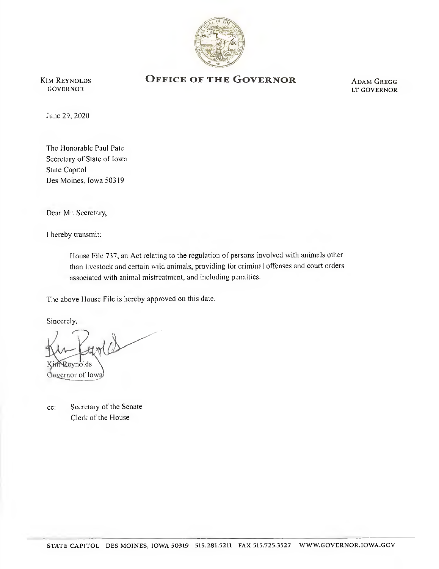

**KIM REYNOLDS GOVERNOR** 

## OFFICE OF THE GOVERNOR

**ADAM GREGG** LT GOVERNOR

June 29, 2020

The Honorable Paul Pate Secretary of State of Iowa State Capitol Des Moines, Iowa 50319

Dear Mr. Secretary,

I hereby transmit:

House File 737, an Act relating to the regulation of persons involved with animals other than livestock and certain wild animals, providing for criminal ofenses and court orders associated with animal mistreatment, and including penalties.

The above House File is hereby approved on this date.

Sincerely,

evnolds Covernor of Iowa

c: Secretary of the Senate Clerk of the House

Clerk of the House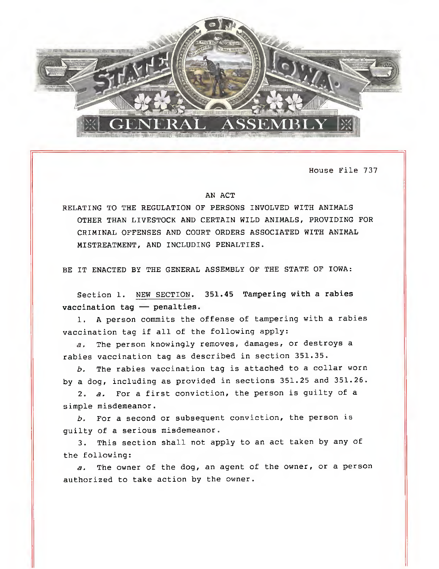

House File 737

## AN ACT

RELATING TO THE REGULATION OF PERSONS INVOLVED WITH ANIMALS OTHER THAN LIVESTOCK AND CERTAIN WILD ANIMALS, PROVIDING FOR CRIMINAL OFFENSES AND COURT ORDERS ASSOCIATED WITH ANIMAL MISTREATMENT, AND INCLUDING PENALTIES.

BE IT ENACTED BY THE GENERAL ASSEMBLY OF THE STATE OF IOWA:

Section 1. NEW SECTION. 351.45 Tampering with a rabies vaccination tag — penalties.

1. A person commits the offense of tampering with a rabies vaccination tag if all of the following apply:

a, The person knowingly removes, damages, or destroys a rabies vaccination tag as described in section 351.35.

b, The rabies vaccination tag is attached to a collar worn by a dog, including as provided in sections 351.25 and 351.26.

2. a. For a first conviction, the person is guilty of a simple misdemeanor.

b. For a second or subsequent conviction, the person is guilty of a serious misdemeanor.

3. This section shall not apply to an act taken by any of the following:

a. The owner of the dog, an agent of the owner, or a person authorized to take action by the owner.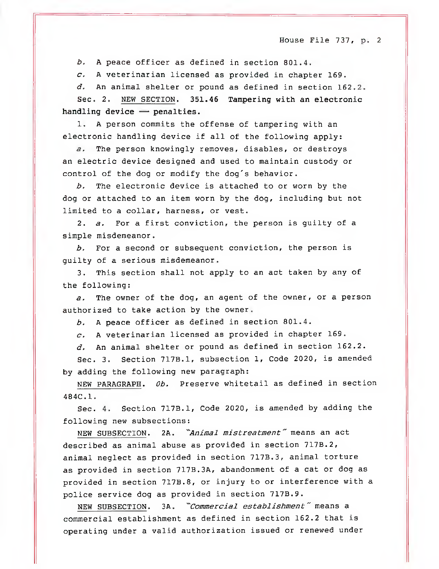b. A peace officer as defined in section 801.4.

 $c.$  A veterinarian licensed as provided in chapter 169.

d, An animal shelter or pound as defined in section 162.2.

Sec. 2. NEW SECTION. 351.46 Tampering with an electronic handling device — penalties.

1. A person commits the offense of tampering with an electronic handling device if all of the following apply:

a, The person knowingly removes, disables, or destroys an electric device designed and used to maintain custody or control of the dog or modify the dog's behavior.

b. The electronic device is attached to or worn by the dog or attached to an item worn by the dog, including but not limited to a collar, harness, or vest.

2. a. For a first conviction, the person is guilty of a simple misdemeanor.

 $b.$  For a second or subsequent conviction, the person is guilty of a serious misdemeanor.

3. This section shall not apply to an act taken by any of the following:

a. The owner of the dog, an agent of the owner, or a person authorized to take action by the owner.

b. A peace officer as defined in section 801.4.

 $c.$  A veterinarian licensed as provided in chapter 169.

d, An animal shelter or pound as defined in section 162.2.

Sec. 3. Section 717B.1, subsection 1, Code 2020, is amended by adding the following new paragraph:

NEW PARAGRAPH. Ob. Preserve whitetail as defined in section 484C.1.  $-$ 

Sec. 4. Section 717B.1, Code 2020, is amended by adding the following new subsections:

NEW SUBSECTION. 2A. "Animal mistreatment" means an act described as animal abuse as provided in section 717B.2, animal neglect as provided in section 717B.3, animal torture as provided in section 717B.3A, abandonment of a cat or dog as provided in section 717B.8, or injury to or interference with a police service dog as provided in section 717B.9.

NEW SUBSECTION. 3A. "Commercial establishment" means a commercial establishment as defined in section 162.2 that is operating under a valid authorization issued or renewed under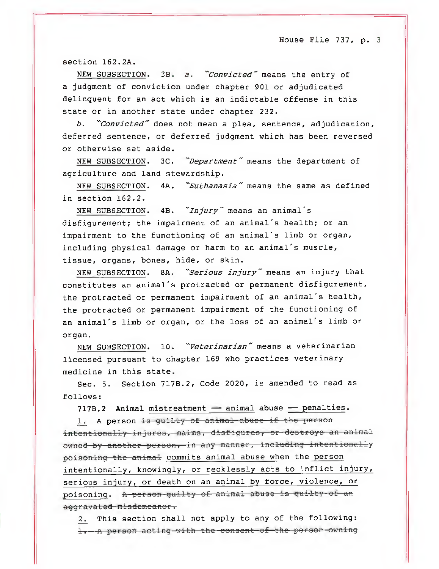section 162.2A.

NEW SUBSECTION. 3B. a. "Convicted" means the entry of a judgment of conviction under chapter 901 or adjudicated delinquent for an act which is an indictable offense in this state or in another state under chapter 232.

b. "Convicted" does not mean a plea, sentence, adjudication, deferred sentence, or deferred judgment which has been reversed or otherwise set aside.

NEW SUBSECTION. 3C. "Department" means the department of agriculture and land stewardship.

NEW SUBSECTION. 4A. "Euthanasia" means the same as defined in section 162.2.

NEW SUBSECTION. 4B. "Injury" means an animal's disfigurement; the impairment of an animal's health; or an impairment to the functioning of an animal's limb or organ, including physical damage or harm to an animal's muscle, tissue, organs, bones, hide, or skin.

NEW SUBSECTION. 8A. "Serious injury" means an injury that constitutes an animal's protracted or permanent disfigurement, the protracted or permanent impairment of an animal's health, the protracted or permanent impairment of the functioning of an animal's limb or organ, or the loss of an animal's limb or organ.

NEW SUBSECTION. 10. "Veterinarian" means a veterinarian licensed pursuant to chapter 169 who practices veterinary medicine in this state.

Sec. 5. Section 717B.2, Code 2020, is amended to read as follows:

717B.2 Animal mistreatment — animal abuse — penalties.

1. A person is guilty of animal abuse if the person intentionally injures, maims, disfigures, or destroys an animal owned by another person, in any manner, including intentionally poisoning the animal commits animal abuse when the person intentionally, knowingly, or recklessly acts to inflict injury, serious injury, or death on an animal by force, violence, or poisoning. A person-guilty of animal abuse is guilty of an aggravated misdemeanor.

2. This section shall not apply to any of the following: 1. A person acting with the consent of the person owning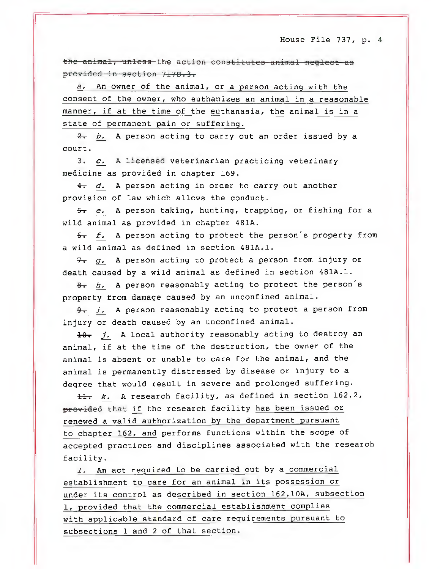the animal, unless the action constitutes animal neglect as provided in section 717B.3.

a, An owner of the animal, or a person acting with the consent of the owner, who euthanizes an animal in a reasonable manner, if at the time of the euthanasia, the animal is in a state of permanent pain or suffering.

 $\frac{2}{x}$  b. A person acting to carry out an order issued by a court.

 $3. c. A \pm$ eensed veterinarian practicing veterinary medicine as provided in chapter 169.

 $4- d.$  A person acting in order to carry out another provision of law which allows the conduct.

 $\frac{1}{2}$  e. A person taking, hunting, trapping, or fishing for a wild animal as provided in chapter 481A.

 $f$ . A person acting to protect the person's property from a wild animal as defined in section 481A.1.

 $7.99.$  A person acting to protect a person from injury or death caused by a wild animal as defined in section 481A.1.

 $8 - h$ . A person reasonably acting to protect the person's property from damage caused by an unconfined animal.

 $\theta$ . *i.* A person reasonably acting to protect a person from injury or death caused by an unconfined animal.

 $10.$  j. A local authority reasonably acting to destroy an animal, if at the time of the destruction, the owner of the animal is absent or unable to care for the animal, and the animal is permanently distressed by disease or injury to a degree that would result in severe and prolonged suffering.

11. k. A research facility, as defined in section 162.2, provided that if the research facility has been issued or renewed a valid authorization by the department pursuant to chapter 162, and performs functions within the scope of accepted practices and disciplines associated with the research facility.

1, An act required to be carried out by a commercial establishment to care for an animal in its possession or under its control as described in section 162.10A, subsection 1, provided that the commercial establishment complies with applicable standard of care requirements pursuant to subsections 1 and 2 of that section.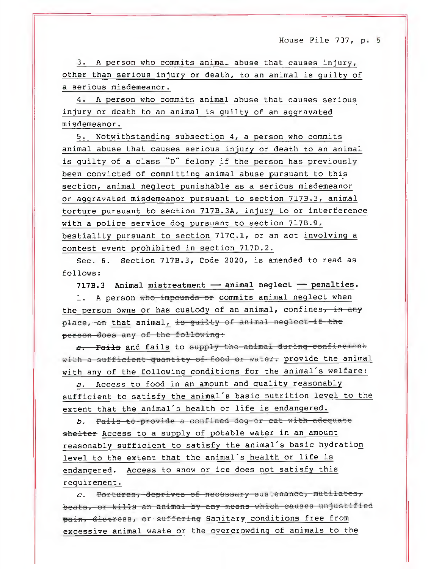3. A person who commits animal abuse that causes injury, other than serious injury or death, to an animal is guilty of a serious misdemeanor.

4. A person who commits animal abuse that causes serious injury or death to an animal is guilty of an aggravated misdemeanor.

5. Notwithstanding subsection 4, a person who commits animal abuse that causes serious injury or death to an animal is guilty of a class "D" felony if the person has previously been convicted of committing animal abuse pursuant to this section, animal neglect punishable as a serious misdemeanor or aggravated misdemeanor pursuant to section 717B.3, animal torture pursuant to section 717B.3A, injury to or interference with a police service dog pursuant to section 717B.9, bestiality pursuant to section 717C.1, or an act involving a contest event prohibited in section 717D.2.

Sec. 6. Section 717B.3, Code 2020, is amended to read as follows:

717B.3 Animal mistreatment — animal neglect — penalties.

1. A person who impounds or commits animal neglect when the person owns or has custody of an animal, confines, in any place, an that animal, is guilty of animal neglect if the person does any of the following:

a. Fails and fails to supply the animal during confinement with a sufficient quantity of food or water. provide the animal with any of the following conditions for the animal's welfare:

a. Access to food in an amount and quality reasonably sufficient to satisfy the animal's basic nutrition level to the extent that the animal's health or life is endangered.

b. Fails to provide a confined dog or cat with adequate shelter Access to a supply of potable water in an amount reasonably sufficient to satisfy the animal's basic hydration level to the extent that the animal's health or life is endangered. Access to snow or ice does not satisfy this requirement.

c. Tortures, deprives of necessary sustenance, mutilates, beats, or kills an animal by any means which causes unjustified pain, distress, or suffering Sanitary conditions free from excessive animal waste or the overcrowding of animals to the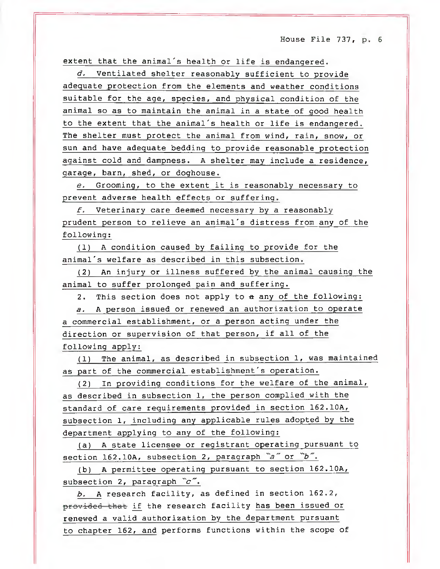extent that the animal's health or life is endangered.

d. Ventilated shelter reasonably sufficient to provide adequate protection from the elements and weather conditions suitable for the age, species, and physical condition of the animal so as to maintain the animal in a state of good health to the extent that the animal's health or life is endangered. The shelter must protect the animal from wind, rain, snow, or sun and have adequate bedding to provide reasonable protection against cold and dampness. A shelter may include a residence, garage, barn, shed, or doghouse.

e. Grooming, to the extent it is reasonably necessary to prevent adverse health effects or suffering.

 $f.$  Veterinary care deemed necessary by a reasonably prudent person to relieve an animal's distress from any of the following:

(1) A condition caused by failing to provide for the animal's welfare as described in this subsection.

(2) An injury or illness suffered by the animal causing the animal to suffer prolonged pain and suffering.

2. This section does not apply to a any of the following:

a. A person issued or renewed an authorization to operate a commercial establishment, or a person acting under the direction or supervision of that person, if all of the following apply:

(1) The animal, as described in subsection 1, was maintained as part of the commercial establishment's operation.

(2) In providing conditions for the welfare of the animal, as described in subsection 1, the person complied with the standard of care requirements provided in section 162.10A, subsection 1, including any applicable rules adopted by the department applying to any of the following:

(a) A state licensee or registrant operating pursuant to section 162.10A, subsection 2, paragraph  $a^{\infty}$  or  $b^{\infty}$ .

(b) A permittee operating pursuant to section 162.10A, subsection 2, paragraph  $c$ .

b. A research facility, as defined in section 162.2, providcd that if the research facility has been issued or renewed a valid authorization by the department pursuant to chapter 162, and performs functions within the scope of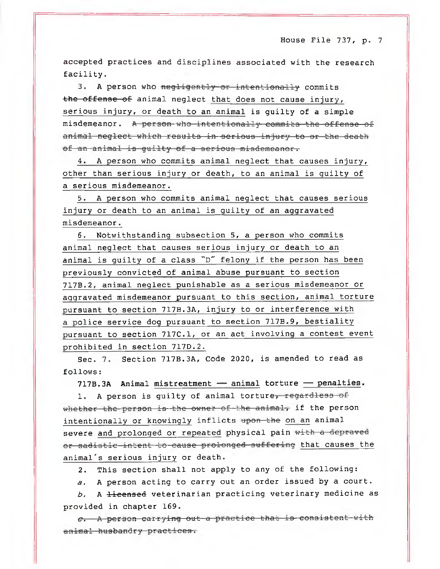accepted practices and disciplines associated with the research facility.

3. A person who negligently or intentionally commits the offense of animal neglect that does not cause injury, serious injury, or death to an animal is guilty of a simple misdemeanor. A person who intentionally commits the offense of animal neglect which results in serious injury to or the death of an animal is guilty of a serious misdemeanor.

4. A person who commits animal neglect that causes injury, other than serious injury or death, to an animal is guilty of a serious misdemeanor.

5. A person who commits animal neglect that causes serious injury or death to an animal is guilty of an aggravated misdemeanor.

6. Notwithstanding subsection 5, a person who commits animal neglect that causes serious injury or death to an animal is guilty of a class "D" felony if the person has been previously convicted of animal abuse pursuant to section 717B.2, animal neglect punishable as a serious misdemeanor or aggravated misdemeanor pursuant to this section, animal torture pursuant to section 717B.3A, injury to or interference with a police service dog pursuant to section 717B.9, bestiality pursuant to section 717C.1, or an act involving a contest event prohibited in section 717D.2.

Sec. 7. Section 717B.3A, Code 2020, is amended to read as follows:

717B.3A Animal mistreatment — animal torture — penalties.

1. A person is quilty of animal torture, regardless of whether the person is the owner of the animal, if the person intentionally or knowingly inflicts upon the on an animal severe and prolonged or repeated physical pain with a depraved or sadistic intent to cause prolonged suffering that causes the animal's serious injury or death.

2. This section shall not apply to any of the following:

a. A person acting to carry out an order issued by a court.

b. A licensed veterinarian practicing veterinary medicine as provided in chapter 169.

 $c.$  A person carrying out a practice that is consistent with animal husbandry practices.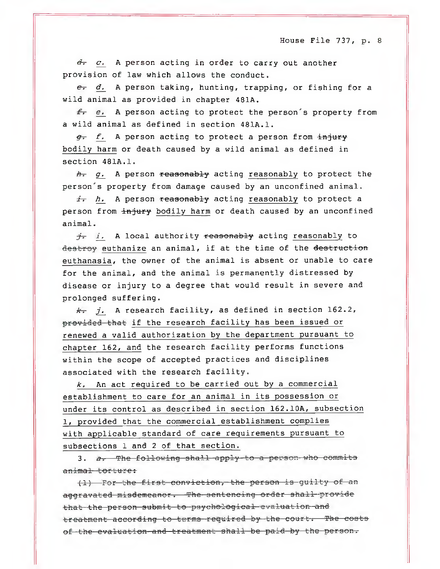$d_r$  c. A person acting in order to carry out another provision of law which allows the conduct.

 $e$ . A person taking, hunting, trapping, or fishing for a wild animal as provided in chapter 481A.

 $\epsilon$ , e. A person acting to protect the person's property from a wild animal as defined in section 481A.1.

 $g_r$  f. A person acting to protect a person from  $\frac{1}{2}H^2$ bodily harm or death caused by a wild animal as defined in section 481A.1.

 $h_r$  g. A person reasonably acting reasonably to protect the person's property from damage caused by an unconfined animal.

 $\frac{1}{2}$ , h. A person reasonably acting reasonably to protect a person from injury bodily harm or death caused by an unconfined animal.

 $\dot{\tau}$ , i, A local authority reasonably acting reasonably to destroy euthanize an animal, if at the time of the destruction euthanasia, the owner of the animal is absent or unable to care for the animal, and the animal is permanently distressed by disease or injury to a degree that would result in severe and prolonged suffering.

 $k$ - j. A research facility, as defined in section 162.2, provided that if the research facility has been issued or renewed a valid authorization by the department pursuant to chapter 162, and the research facility performs functions within the scope of accepted practices and disciplines associated with the research facility.

 $k$ , An act required to be carried out by a commercial establishment to care for an animal in its possession or under its control as described in section 162.10A, subsection 1, provided that the commercial establishment complies with applicable standard of care requirements pursuant to subsections 1 and 2 of that section.

3. a. The following shall apply to a person who commits animal torture:

(1) For the first conviction, the person is guilty of an aggravated misdemeanor. The sentencing order shall provide that the person submit to psychological evaluation and treatment according to terms required by the court. The costs of the evaluation and treatment shall be paid by the person.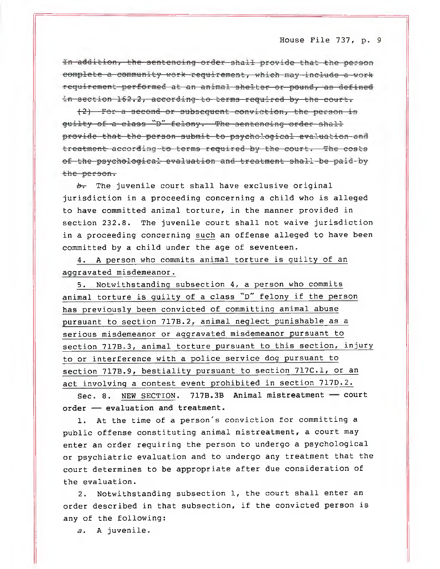In addition, the sentencing order shall provide that the person complete a community work requirement, which may include a work requirement performed at an animal shelter or pound, as defined in section 162.2, according to terms required by the court.

(2) For a 3ccond or 3ub3equent conviction, the person is quilty of a class "D" felony. The sentencing order shall provide that the per3on Submit to psychological evaluation and treatment according to terms required by the court. The costs of the psychological evaluation and treatment shall be paid-by the person.

 $b<sub>r</sub>$  The juvenile court shall have exclusive original jurisdiction in a proceeding concerning a child who is alleged to have committed animal torture, in the manner provided in section 232.8. The juvenile court shall not waive jurisdiction in a proceeding concerning such an offense alleged to have been committed by a child under the age of seventeen.

4. A person who commits animal torture is guilty of an aggravated misdemeanor.

5. Notwithstanding subsection 4, a person who commits animal torture is guilty of a class "D" felony if the person has previously been convicted of committing animal abuse pursuant to section 717B.2, animal neglect punishable as a serious misdemeanor or aggravated misdemeanor pursuant to section 717B.3, animal torture pursuant to this section, injury to or interference with a police service dog pursuant to section 717B.9, bestiality pursuant to section 717C.1, or an act involving a contest event prohibited in section 717D.2.

Sec. 8. NEW SECTION. 717B.3B Animal mistreatment — court order — evaluation and treatment.

1. At the time of a person's conviction for committing a public offense constituting animal mistreatment, a court may enter an order requiring the person to undergo a psychological or psychiatric evaluation and to undergo any treatment that the court determines to be appropriate after due consideration of the evaluation.

2. Notwithstanding subsection 1, the court shall enter an order described in that subsection, if the convicted person is any of the following:

a, A juvenile.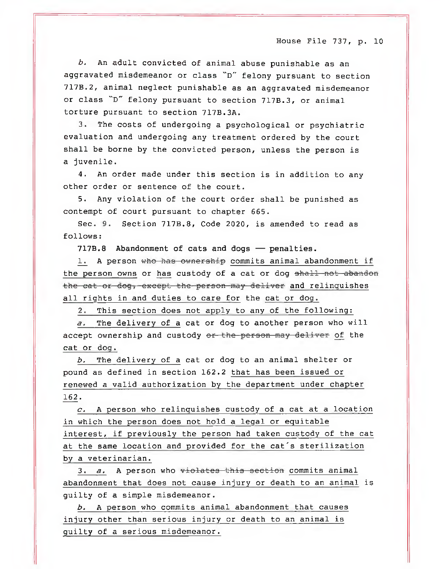b. An adult convicted of animal abuse punishable as an aggravated misdemeanor or class "D" felony pursuant to section 717B.2, animal neglect punishable as an aggravated misdemeanor or class "D" felony pursuant to section 717B.3, or animal torture pursuant to section 717B.3A.

3. The costs of undergoing a psychological or psychiatric evaluation and undergoing any treatment ordered by the court shall be borne by the convicted person, unless the person is a juvenile.

4. An order made under this section is in addition to any other order or sentence of the court.

5. Any violation of the court order shall be punished as contempt of court pursuant to chapter 665.

Sec. 9. Section 717B.8, Code 2020, is amended to read as follows:

717B.8 Abandonment of cats and dogs — penalties.

1. A person who has ownership commits animal abandonment if the person owns or has custody of a cat or dog shall not abandon the cat or dog, except the person may deliver and relinquishes all rights in and duties to care for the cat or dog.

2. This section does not apply to any of the following:

a. The delivery of a cat or dog to another person who will accept ownership and custody or the person may deliver of the cat or dog.

b, The delivery of a cat or dog to an animal shelter or pound as defined in section 162.2 that has been issued or renewed a valid authorization by the department under chapter 162.

 $c$ . A person who relinquishes custody of a cat at a location in which the person does not hold a legal or equitable interest, if previously the person had taken custody of the cat at the same location and provided for the cat's sterilization by a veterinarian.

3.  $a$ . A person who  $\overline{v}$  idential section commits animal abandonment that does not cause injury or death to an animal is guilty of a simple misdemeanor.

b. A person who commits animal abandonment that causes injury other than serious injury or death to an animal is guilty of a serious misdemeanor.